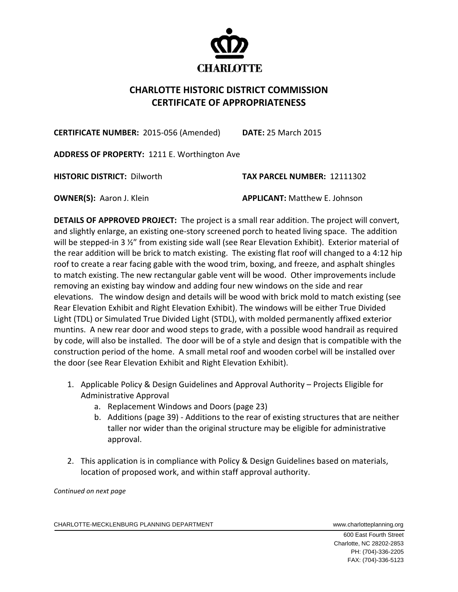

## **CHARLOTTE HISTORIC DISTRICT COMMISSION CERTIFICATE OF APPROPRIATENESS**

**CERTIFICATE NUMBER:** 2015‐056 (Amended) **DATE:** 25 March 2015

**ADDRESS OF PROPERTY:** 1211 E. Worthington Ave

**HISTORIC DISTRICT:** Dilworth **TAX PARCEL NUMBER:** 12111302

**OWNER(S):** Aaron J. Klein **APPLICANT:** Matthew E. Johnson

**DETAILS OF APPROVED PROJECT:** The project is a small rear addition. The project will convert, and slightly enlarge, an existing one-story screened porch to heated living space. The addition will be stepped-in 3 %" from existing side wall (see Rear Elevation Exhibit). Exterior material of the rear addition will be brick to match existing. The existing flat roof will changed to a 4:12 hip roof to create a rear facing gable with the wood trim, boxing, and freeze, and asphalt shingles to match existing. The new rectangular gable vent will be wood. Other improvements include removing an existing bay window and adding four new windows on the side and rear elevations. The window design and details will be wood with brick mold to match existing (see Rear Elevation Exhibit and Right Elevation Exhibit). The windows will be either True Divided Light (TDL) or Simulated True Divided Light (STDL), with molded permanently affixed exterior muntins. A new rear door and wood steps to grade, with a possible wood handrail as required by code, will also be installed. The door will be of a style and design that is compatible with the construction period of the home. A small metal roof and wooden corbel will be installed over the door (see Rear Elevation Exhibit and Right Elevation Exhibit).

- 1. Applicable Policy & Design Guidelines and Approval Authority Projects Eligible for Administrative Approval
	- a. Replacement Windows and Doors (page 23)
	- b. Additions (page 39) ‐ Additions to the rear of existing structures that are neither taller nor wider than the original structure may be eligible for administrative approval.
- 2. This application is in compliance with Policy & Design Guidelines based on materials, location of proposed work, and within staff approval authority.

*Continued on next page*

CHARLOTTE-MECKLENBURG PLANNING DEPARTMENT WWWW.charlotteplanning.org

 600 East Fourth Street Charlotte, NC 28202-2853 PH: (704)-336-2205 FAX: (704)-336-5123